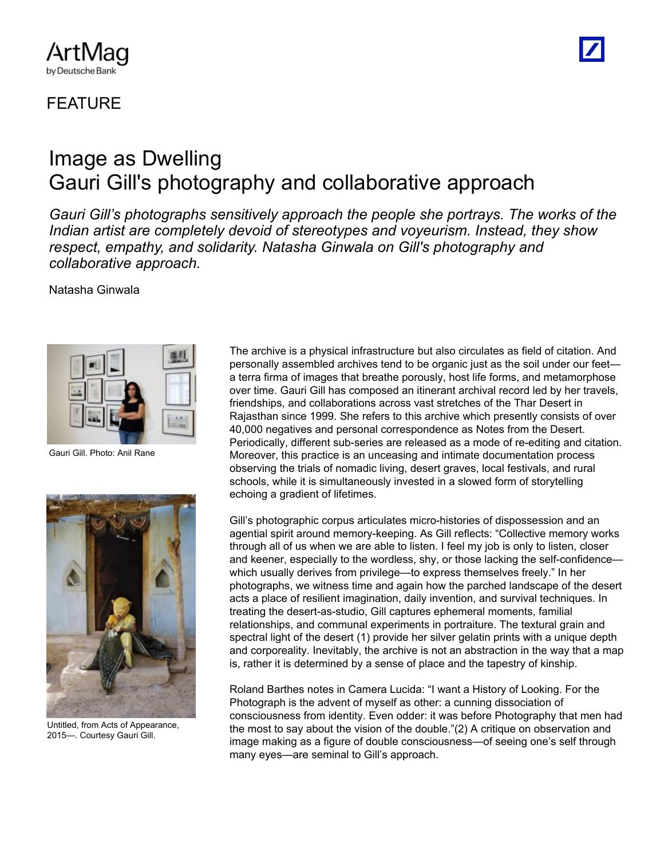## **FFATURF**

ArtMag by Deutsche Bank

## Image as Dwelling Gauri Gill's photography and collaborative approach

*Gauri Gill's photographs sensitively approach the people she portrays. The works of the Indian artist are completely devoid of stereotypes and voyeurism. Instead, they show respect, empathy, and solidarity. Natasha Ginwala on Gill's photography and collaborative approach.*

Natasha Ginwala



Gauri Gill. Photo: Anil Rane



Untitled, from Acts of Appearance, 2015—. Courtesy Gauri Gill.

The archive is a physical infrastructure but also circulates as field of citation. And personally assembled archives tend to be organic just as the soil under our feet a terra firma of images that breathe porously, host life forms, and metamorphose over time. Gauri Gill has composed an itinerant archival record led by her travels, friendships, and collaborations across vast stretches of the Thar Desert in Rajasthan since 1999. She refers to this archive which presently consists of over 40,000 negatives and personal correspondence as Notes from the Desert. Periodically, different sub-series are released as a mode of re-editing and citation. Moreover, this practice is an unceasing and intimate documentation process observing the trials of nomadic living, desert graves, local festivals, and rural schools, while it is simultaneously invested in a slowed form of storytelling echoing a gradient of lifetimes.

Gill's photographic corpus articulates micro-histories of dispossession and an agential spirit around memory-keeping. As Gill reflects: "Collective memory works through all of us when we are able to listen. I feel my job is only to listen, closer and keener, especially to the wordless, shy, or those lacking the self-confidence which usually derives from privilege—to express themselves freely." In her photographs, we witness time and again how the parched landscape of the desert acts a place of resilient imagination, daily invention, and survival techniques. In treating the desert-as-studio, Gill captures ephemeral moments, familial relationships, and communal experiments in portraiture. The textural grain and spectral light of the desert (1) provide her silver gelatin prints with a unique depth and corporeality. Inevitably, the archive is not an abstraction in the way that a map is, rather it is determined by a sense of place and the tapestry of kinship.

Roland Barthes notes in Camera Lucida: "I want a History of Looking. For the Photograph is the advent of myself as other: a cunning dissociation of consciousness from identity. Even odder: it was before Photography that men had the most to say about the vision of the double."(2) A critique on observation and image making as a figure of double consciousness—of seeing one's self through many eyes—are seminal to Gill's approach.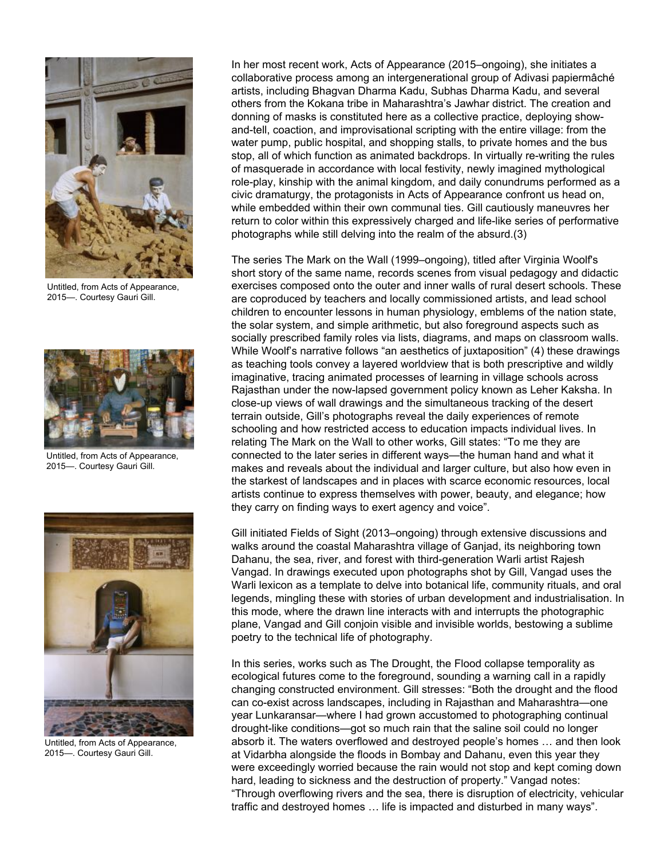

Untitled, from Acts of Appearance, 2015—. Courtesy Gauri Gill.



Untitled, from Acts of Appearance, 2015—. Courtesy Gauri Gill.



Untitled, from Acts of Appearance, 2015—. Courtesy Gauri Gill.

In her most recent work, Acts of Appearance (2015–ongoing), she initiates a collaborative process among an intergenerational group of Adivasi papiermâché artists, including Bhagvan Dharma Kadu, Subhas Dharma Kadu, and several others from the Kokana tribe in Maharashtra's Jawhar district. The creation and donning of masks is constituted here as a collective practice, deploying showand-tell, coaction, and improvisational scripting with the entire village: from the water pump, public hospital, and shopping stalls, to private homes and the bus stop, all of which function as animated backdrops. In virtually re-writing the rules of masquerade in accordance with local festivity, newly imagined mythological role-play, kinship with the animal kingdom, and daily conundrums performed as a civic dramaturgy, the protagonists in Acts of Appearance confront us head on, while embedded within their own communal ties. Gill cautiously maneuvres her return to color within this expressively charged and life-like series of performative photographs while still delving into the realm of the absurd.(3)

The series The Mark on the Wall (1999–ongoing), titled after Virginia Woolf's short story of the same name, records scenes from visual pedagogy and didactic exercises composed onto the outer and inner walls of rural desert schools. These are coproduced by teachers and locally commissioned artists, and lead school children to encounter lessons in human physiology, emblems of the nation state, the solar system, and simple arithmetic, but also foreground aspects such as socially prescribed family roles via lists, diagrams, and maps on classroom walls. While Woolf's narrative follows "an aesthetics of juxtaposition" (4) these drawings as teaching tools convey a layered worldview that is both prescriptive and wildly imaginative, tracing animated processes of learning in village schools across Rajasthan under the now-lapsed government policy known as Leher Kaksha. In close-up views of wall drawings and the simultaneous tracking of the desert terrain outside, Gill's photographs reveal the daily experiences of remote schooling and how restricted access to education impacts individual lives. In relating The Mark on the Wall to other works, Gill states: "To me they are connected to the later series in different ways—the human hand and what it makes and reveals about the individual and larger culture, but also how even in the starkest of landscapes and in places with scarce economic resources, local artists continue to express themselves with power, beauty, and elegance; how they carry on finding ways to exert agency and voice".

Gill initiated Fields of Sight (2013–ongoing) through extensive discussions and walks around the coastal Maharashtra village of Ganjad, its neighboring town Dahanu, the sea, river, and forest with third-generation Warli artist Rajesh Vangad. In drawings executed upon photographs shot by Gill, Vangad uses the Warli lexicon as a template to delve into botanical life, community rituals, and oral legends, mingling these with stories of urban development and industrialisation. In this mode, where the drawn line interacts with and interrupts the photographic plane, Vangad and Gill conjoin visible and invisible worlds, bestowing a sublime poetry to the technical life of photography.

In this series, works such as The Drought, the Flood collapse temporality as ecological futures come to the foreground, sounding a warning call in a rapidly changing constructed environment. Gill stresses: "Both the drought and the flood can co-exist across landscapes, including in Rajasthan and Maharashtra—one year Lunkaransar—where I had grown accustomed to photographing continual drought-like conditions—got so much rain that the saline soil could no longer absorb it. The waters overflowed and destroyed people's homes … and then look at Vidarbha alongside the floods in Bombay and Dahanu, even this year they were exceedingly worried because the rain would not stop and kept coming down hard, leading to sickness and the destruction of property." Vangad notes: "Through overflowing rivers and the sea, there is disruption of electricity, vehicular traffic and destroyed homes … life is impacted and disturbed in many ways".